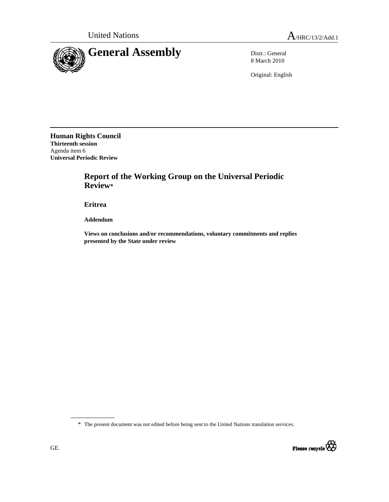

8 March 2010

Original: English

**Human Rights Council Thirteenth session**  Agenda item 6 **Universal Periodic Review** 

## **Report of the Working Group on the Universal Periodic Review\***

 **Eritrea** 

 **Addendum** 

 **Views on conclusions and/or recommendations, voluntary commitments and replies presented by the State under review** 

\* The present document was not edited before being sent to the United Nations translation services.

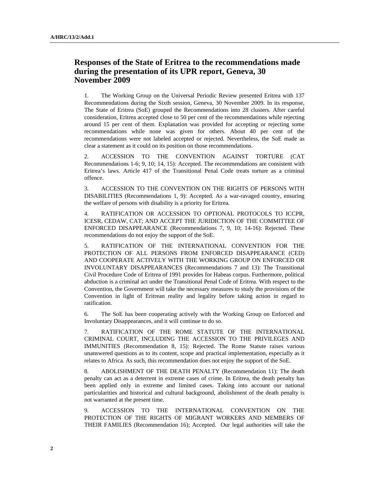## **Responses of the State of Eritrea to the recommendations made during the presentation of its UPR report, Geneva, 30 November 2009**

1. The Working Group on the Universal Periodic Review presented Eritrea with 137 Recommendations during the Sixth session, Geneva, 30 November 2009. In its response, The State of Eritrea (SoE) grouped the Recommendations into 28 clusters. After careful consideration, Eritrea accepted close to 50 per cent of the recommendations while rejecting around 15 per cent of them. Explanation was provided for accepting or rejecting some recommendations while none was given for others. About 40 per cent of the recommendations were not labeled accepted or rejected. Nevertheless, the SoE made as clear a statement as it could on its position on those recommendations.

2. ACCESSION TO THE CONVENTION AGAINST TORTURE (CAT Recommendations 1-6; 9, 10; 14, 15): Accepted. The recommendations are consistent with Eritrea's laws. Article 417 of the Transitional Penal Code treats torture as a criminal offence.

3. ACCESSION TO THE CONVENTION ON THE RIGHTS OF PERSONS WITH DISABILITIES (Recommendations 1, 9): Accepted. As a war-ravaged country, ensuring the welfare of persons with disability is a priority for Eritrea.

4. RATIFICATION OR ACCESSION TO OPTIONAL PROTOCOLS TO ICCPR, ICESR, CEDAW, CAT; AND ACCEPT THE JURIDICTION OF THE COMMITTEE OF ENFORCED DISAPPEARANCE (Recommendations 7, 9, 10; 14-16): Rejected. These recommendations do not enjoy the support of the SoE.

5. RATIFICATION OF THE INTERNATIONAL CONVENTION FOR THE PROTECTION OF ALL PERSONS FROM ENFORCED DISAPPEARANCE (CED) AND COOPERATE ACTIVELY WITH THE WORKING GROUP ON ENFORCED OR INVOLUNTARY DISAPPEARANCES (Recommendations 7 and 13): The Transitional Civil Procedure Code of Eritrea of 1991 provides for Habeas corpus. Furthermore, political abduction is a criminal act under the Transitional Penal Code of Eritrea. With respect to the Convention, the Government will take the necessary measures to study the provisions of the Convention in light of Eritrean reality and legality before taking action in regard to ratification.

6. The SoE has been cooperating actively with the Working Group on Enforced and Involuntary Disappearances, and it will continue to do so.

7. RATIFICATION OF THE ROME STATUTE OF THE INTERNATIONAL CRIMINAL COURT, INCLUDING THE ACCESSION TO THE PRIVILEGES AND IMMUNITIES (Recommendation 8, 15): Rejected. The Rome Statute raises various unanswered questions as to its content, scope and practical implementation, especially as it relates to Africa. As such, this recommendation does not enjoy the support of the SoE.

8. ABOLISHMENT OF THE DEATH PENALTY (Recommendation 11): The death penalty can act as a deterrent in extreme cases of crime. In Eritrea, the death penalty has been applied only in extreme and limited cases. Taking into account our national particularities and historical and cultural background, abolishment of the death penalty is not warranted at the present time.

9. ACCESSION TO THE INTERNATIONAL CONVENTION ON THE PROTECTION OF THE RIGHTS OF MIGRANT WORKERS AND MEMBERS OF THEIR FAMILIES (Recommendation 16); Accepted. Our legal authorities will take the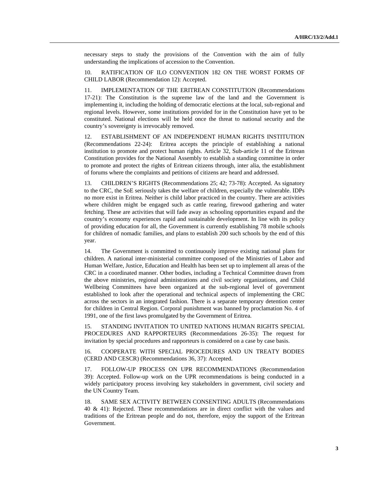necessary steps to study the provisions of the Convention with the aim of fully understanding the implications of accession to the Convention.

10. RATIFICATION OF ILO CONVENTION 182 ON THE WORST FORMS OF CHILD LABOR (Recommendation 12): Accepted.

11. IMPLEMENTATION OF THE ERITREAN CONSTITUTION (Recommendations 17-21): The Constitution is the supreme law of the land and the Government is implementing it, including the holding of democratic elections at the local, sub-regional and regional levels. However, some institutions provided for in the Constitution have yet to be constituted. National elections will be held once the threat to national security and the country's sovereignty is irrevocably removed.

12. ESTABLISHMENT OF AN INDEPENDENT HUMAN RIGHTS INSTITUTION (Recommendations 22-24): Eritrea accepts the principle of establishing a national institution to promote and protect human rights. Article 32, Sub-article 11 of the Eritrean Constitution provides for the National Assembly to establish a standing committee in order to promote and protect the rights of Eritrean citizens through, inter alia, the establishment of forums where the complaints and petitions of citizens are heard and addressed.

13. CHILDREN'S RIGHTS (Recommendations 25; 42; 73-78): Accepted. As signatory to the CRC, the SoE seriously takes the welfare of children, especially the vulnerable. IDPs no more exist in Eritrea. Neither is child labor practiced in the country. There are activities where children might be engaged such as cattle rearing, firewood gathering and water fetching. These are activities that will fade away as schooling opportunities expand and the country's economy experiences rapid and sustainable development. In line with its policy of providing education for all, the Government is currently establishing 78 mobile schools for children of nomadic families, and plans to establish 200 such schools by the end of this year.

14. The Government is committed to continuously improve existing national plans for children. A national inter-ministerial committee composed of the Ministries of Labor and Human Welfare, Justice, Education and Health has been set up to implement all areas of the CRC in a coordinated manner. Other bodies, including a Technical Committee drawn from the above ministries, regional administrations and civil society organizations, and Child Wellbeing Committees have been organized at the sub-regional level of government established to look after the operational and technical aspects of implementing the CRC across the sectors in an integrated fashion. There is a separate temporary detention center for children in Central Region. Corporal punishment was banned by proclamation No. 4 of 1991, one of the first laws promulgated by the Government of Eritrea.

15. STANDING INVITATION TO UNITED NATIONS HUMAN RIGHTS SPECIAL PROCEDURES AND RAPPORTEURS (Recommendations 26-35): The request for invitation by special procedures and rapporteurs is considered on a case by case basis.

16. COOPERATE WITH SPECIAL PROCEDURES AND UN TREATY BODIES (CERD AND CESCR) (Recommendations 36, 37): Accepted.

17. FOLLOW-UP PROCESS ON UPR RECOMMENDATIONS (Recommendation 39): Accepted. Follow-up work on the UPR recommendations is being conducted in a widely participatory process involving key stakeholders in government, civil society and the UN Country Team.

18. SAME SEX ACTIVITY BETWEEN CONSENTING ADULTS (Recommendations 40 & 41): Rejected. These recommendations are in direct conflict with the values and traditions of the Eritrean people and do not, therefore, enjoy the support of the Eritrean Government.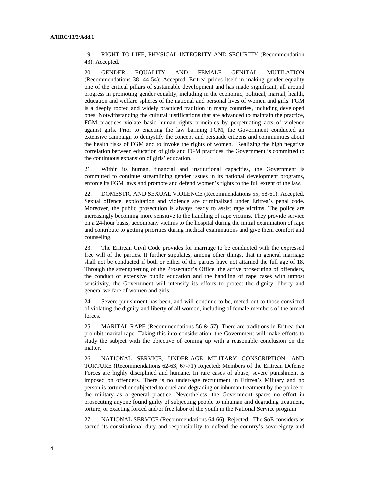19. RIGHT TO LIFE, PHYSICAL INTEGRITY AND SECURITY (Recommendation 43): Accepted.

20. GENDER EQUALITY AND FEMALE GENITAL MUTILATION (Recommendations 38, 44-54): Accepted. Eritrea prides itself in making gender equality one of the critical pillars of sustainable development and has made significant, all around progress in promoting gender equality, including in the economic, political, marital, health, education and welfare spheres of the national and personal lives of women and girls. FGM is a deeply rooted and widely practiced tradition in many countries, including developed ones. Notwithstanding the cultural justifications that are advanced to maintain the practice, FGM practices violate basic human rights principles by perpetuating acts of violence against girls. Prior to enacting the law banning FGM, the Government conducted an extensive campaign to demystify the concept and persuade citizens and communities about the health risks of FGM and to invoke the rights of women. Realizing the high negative correlation between education of girls and FGM practices, the Government is committed to the continuous expansion of girls' education.

21. Within its human, financial and institutional capacities, the Government is committed to continue streamlining gender issues in its national development programs, enforce its FGM laws and promote and defend women's rights to the full extent of the law.

22. DOMESTIC AND SEXUAL VIOLENCE (Recommendations 55; 58-61): Accepted. Sexual offence, exploitation and violence are criminalized under Eritrea's penal code. Moreover, the public prosecution is always ready to assist rape victims. The police are increasingly becoming more sensitive to the handling of rape victims. They provide service on a 24-hour basis, accompany victims to the hospital during the initial examination of rape and contribute to getting priorities during medical examinations and give them comfort and counseling.

23. The Eritrean Civil Code provides for marriage to be conducted with the expressed free will of the parties. It further stipulates, among other things, that in general marriage shall not be conducted if both or either of the parties have not attained the full age of 18. Through the strengthening of the Prosecutor's Office, the active prosecuting of offenders, the conduct of extensive public education and the handling of rape cases with utmost sensitivity, the Government will intensify its efforts to protect the dignity, liberty and general welfare of women and girls.

24. Severe punishment has been, and will continue to be, meted out to those convicted of violating the dignity and liberty of all women, including of female members of the armed forces.

25. MARITAL RAPE (Recommendations 56  $\&$  57): There are traditions in Eritrea that prohibit marital rape. Taking this into consideration, the Government will make efforts to study the subject with the objective of coming up with a reasonable conclusion on the matter.

26. NATIONAL SERVICE, UNDER-AGE MILITARY CONSCRIPTION, AND TORTURE (Recommendations 62-63; 67-71) Rejected: Members of the Eritrean Defense Forces are highly disciplined and humane. In rare cases of abuse, severe punishment is imposed on offenders. There is no under-age recruitment in Eritrea's Military and no person is tortured or subjected to cruel and degrading or inhuman treatment by the police or the military as a general practice. Nevertheless, the Government spares no effort in prosecuting anyone found guilty of subjecting people to inhuman and degrading treatment, torture, or exacting forced and/or free labor of the youth in the National Service program.

27. NATIONAL SERVICE (Recommendations 64-66): Rejected. The SoE considers as sacred its constitutional duty and responsibility to defend the country's sovereignty and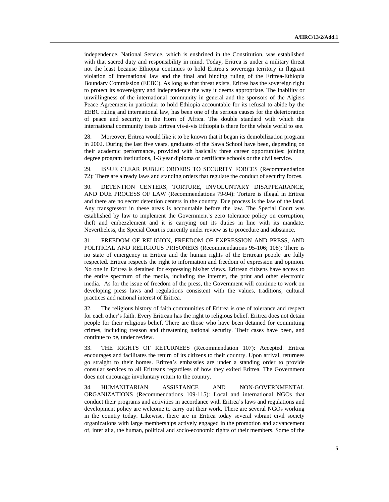independence. National Service, which is enshrined in the Constitution, was established with that sacred duty and responsibility in mind. Today, Eritrea is under a military threat not the least because Ethiopia continues to hold Eritrea's sovereign territory in flagrant violation of international law and the final and binding ruling of the Eritrea-Ethiopia Boundary Commission (EEBC). As long as that threat exists, Eritrea has the sovereign right to protect its sovereignty and independence the way it deems appropriate. The inability or unwillingness of the international community in general and the sponsors of the Algiers Peace Agreement in particular to hold Ethiopia accountable for its refusal to abide by the EEBC ruling and international law, has been one of the serious causes for the deterioration of peace and security in the Horn of Africa. The double standard with which the international community treats Eritrea vis-á-vis Ethiopia is there for the whole world to see.

28. Moreover, Eritrea would like it to be known that it began its demobilization program in 2002. During the last five years, graduates of the Sawa School have been, depending on their academic performance, provided with basically three career opportunities: joining degree program institutions, 1-3 year diploma or certificate schools or the civil service.

29. ISSUE CLEAR PUBLIC ORDERS TO SECURITY FORCES (Recommendation 72): There are already laws and standing orders that regulate the conduct of security forces.

30. DETENTION CENTERS, TORTURE, INVOLUNTARY DISAPPEARANCE, AND DUE PROCESS OF LAW (Recommendations 79-94): Torture is illegal in Eritrea and there are no secret detention centers in the country. Due process is the law of the land. Any transgressor in these areas is accountable before the law. The Special Court was established by law to implement the Government's zero tolerance policy on corruption, theft and embezzlement and it is carrying out its duties in line with its mandate. Nevertheless, the Special Court is currently under review as to procedure and substance.

31. FREEDOM OF RELIGION, FREEDOM OF EXPRESSION AND PRESS, AND POLITICAL AND RELIGIOUS PRISONERS (Recommendations 95-106; 108): There is no state of emergency in Eritrea and the human rights of the Eritrean people are fully respected. Eritrea respects the right to information and freedom of expression and opinion. No one in Eritrea is detained for expressing his/her views. Eritrean citizens have access to the entire spectrum of the media, including the internet, the print and other electronic media. As for the issue of freedom of the press, the Government will continue to work on developing press laws and regulations consistent with the values, traditions, cultural practices and national interest of Eritrea.

32. The religious history of faith communities of Eritrea is one of tolerance and respect for each other's faith. Every Eritrean has the right to religious belief. Eritrea does not detain people for their religious belief. There are those who have been detained for committing crimes, including treason and threatening national security. Their cases have been, and continue to be, under review.

33. THE RIGHTS OF RETURNEES (Recommendation 107): Accepted. Eritrea encourages and facilitates the return of its citizens to their country. Upon arrival, returnees go straight to their homes. Eritrea's embassies are under a standing order to provide consular services to all Eritreans regardless of how they exited Eritrea. The Government does not encourage involuntary return to the country.

34. HUMANITARIAN ASSISTANCE AND NON-GOVERNMENTAL ORGANIZATIONS (Recommendations 109-115): Local and international NGOs that conduct their programs and activities in accordance with Eritrea's laws and regulations and development policy are welcome to carry out their work. There are several NGOs working in the country today. Likewise, there are in Eritrea today several vibrant civil society organizations with large memberships actively engaged in the promotion and advancement of, inter alia, the human, political and socio-economic rights of their members. Some of the